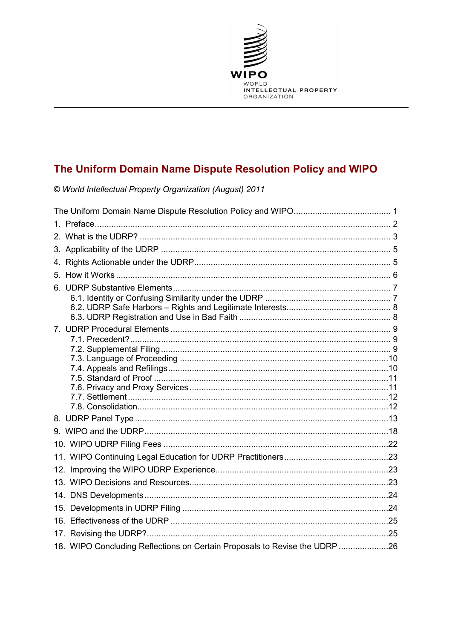

# The Uniform Domain Name Dispute Resolution Policy and WIPO

© World Intellectual Property Organization (August) 2011

| 18. WIPO Concluding Reflections on Certain Proposals to Revise the UDRP26 |  |
|---------------------------------------------------------------------------|--|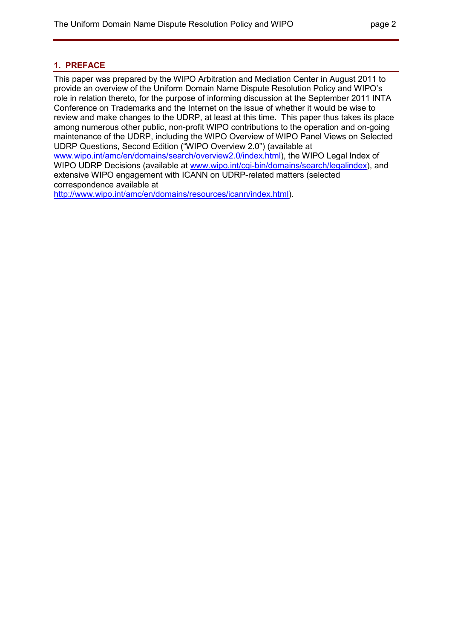# **1. PREFACE**

This paper was prepared by the WIPO Arbitration and Mediation Center in August 2011 to provide an overview of the Uniform Domain Name Dispute Resolution Policy and WIPO's role in relation thereto, for the purpose of informing discussion at the September 2011 INTA Conference on Trademarks and the Internet on the issue of whether it would be wise to review and make changes to the UDRP, at least at this time. This paper thus takes its place among numerous other public, non-profit WIPO contributions to the operation and on-going maintenance of the UDRP, including the WIPO Overview of WIPO Panel Views on Selected UDRP Questions, Second Edition ("WIPO Overview 2.0") (available at www.wipo.int/amc/en/domains/search/overview2.0/index.html), the WIPO Legal Index of WIPO UDRP Decisions (available at www.wipo.int/cgi-bin/domains/search/legalindex), and extensive WIPO engagement with ICANN on UDRP-related matters (selected correspondence available at

http://www.wipo.int/amc/en/domains/resources/icann/index.html).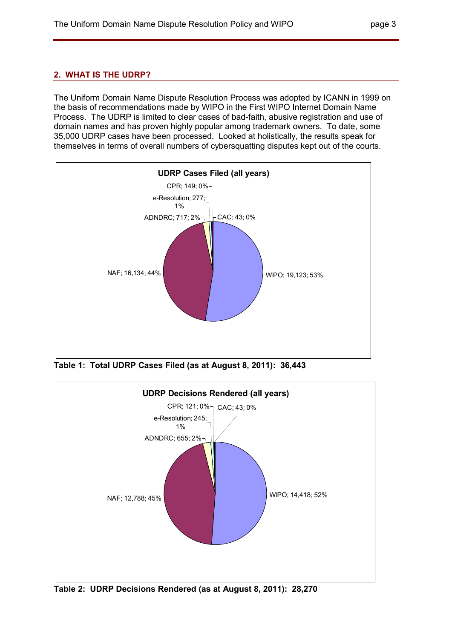# **2. WHAT IS THE UDRP?**

The Uniform Domain Name Dispute Resolution Process was adopted by ICANN in 1999 on the basis of recommendations made by WIPO in the First WIPO Internet Domain Name Process. The UDRP is limited to clear cases of bad-faith, abusive registration and use of domain names and has proven highly popular among trademark owners. To date, some 35,000 UDRP cases have been processed. Looked at holistically, the results speak for themselves in terms of overall numbers of cybersquatting disputes kept out of the courts.



**Table 1: Total UDRP Cases Filed (as at August 8, 2011): 36,443** 



**Table 2: UDRP Decisions Rendered (as at August 8, 2011): 28,270**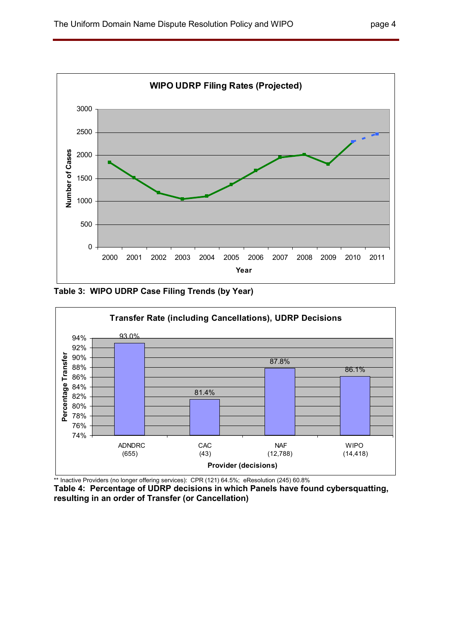

**Table 3: WIPO UDRP Case Filing Trends (by Year)** 



\*\* Inactive Providers (no longer offering services): CPR (121) 64.5%; eResolution (245) 60.8%

**Table 4: Percentage of UDRP decisions in which Panels have found cybersquatting, resulting in an order of Transfer (or Cancellation)**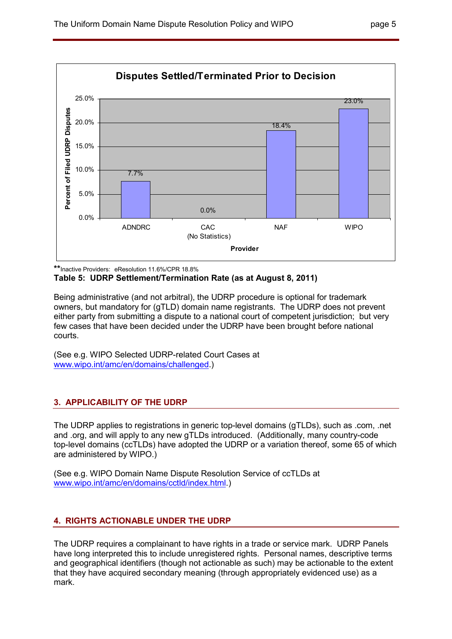

**\*\***Inactive Providers: eResolution 11.6%/CPR 18.8%

# **Table 5: UDRP Settlement/Termination Rate (as at August 8, 2011)**

Being administrative (and not arbitral), the UDRP procedure is optional for trademark owners, but mandatory for (gTLD) domain name registrants. The UDRP does not prevent either party from submitting a dispute to a national court of competent jurisdiction; but very few cases that have been decided under the UDRP have been brought before national courts.

(See e.g. WIPO Selected UDRP-related Court Cases at www.wipo.int/amc/en/domains/challenged.)

# **3. APPLICABILITY OF THE UDRP**

The UDRP applies to registrations in generic top-level domains (gTLDs), such as .com, .net and .org, and will apply to any new gTLDs introduced. (Additionally, many country-code top-level domains (ccTLDs) have adopted the UDRP or a variation thereof, some 65 of which are administered by WIPO.)

(See e.g. WIPO Domain Name Dispute Resolution Service of ccTLDs at www.wipo.int/amc/en/domains/cctld/index.html.)

# **4. RIGHTS ACTIONABLE UNDER THE UDRP**

The UDRP requires a complainant to have rights in a trade or service mark. UDRP Panels have long interpreted this to include unregistered rights. Personal names, descriptive terms and geographical identifiers (though not actionable as such) may be actionable to the extent that they have acquired secondary meaning (through appropriately evidenced use) as a mark.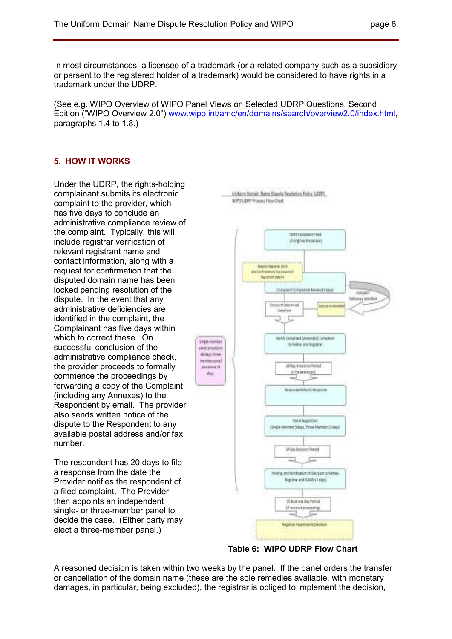In most circumstances, a licensee of a trademark (or a related company such as a subsidiary or parsent to the registered holder of a trademark) would be considered to have rights in a trademark under the UDRP.

(See e.g. WIPO Overview of WIPO Panel Views on Selected UDRP Questions, Second Edition ("WIPO Overview 2.0") www.wipo.int/amc/en/domains/search/overview2.0/index.html, paragraphs 1.4 to 1.8.)

### **5. HOW IT WORKS**

Under the UDRP, the rights-holding complainant submits its electronic complaint to the provider, which has five days to conclude an administrative compliance review of the complaint. Typically, this will include registrar verification of relevant registrant name and contact information, along with a request for confirmation that the disputed domain name has been locked pending resolution of the dispute. In the event that any administrative deficiencies are identified in the complaint, the Complainant has five days within which to correct these. On successful conclusion of the administrative compliance check, the provider proceeds to formally commence the proceedings by forwarding a copy of the Complaint (including any Annexes) to the Respondent by email. The provider also sends written notice of the dispute to the Respondent to any available postal address and/or fax number.

The respondent has 20 days to file a response from the date the Provider notifies the respondent of a filed complaint. The Provider then appoints an independent single- or three-member panel to decide the case. (Either party may elect a three-member panel.)



**Table 6: WIPO UDRP Flow Chart** 

A reasoned decision is taken within two weeks by the panel. If the panel orders the transfer or cancellation of the domain name (these are the sole remedies available, with monetary damages, in particular, being excluded), the registrar is obliged to implement the decision,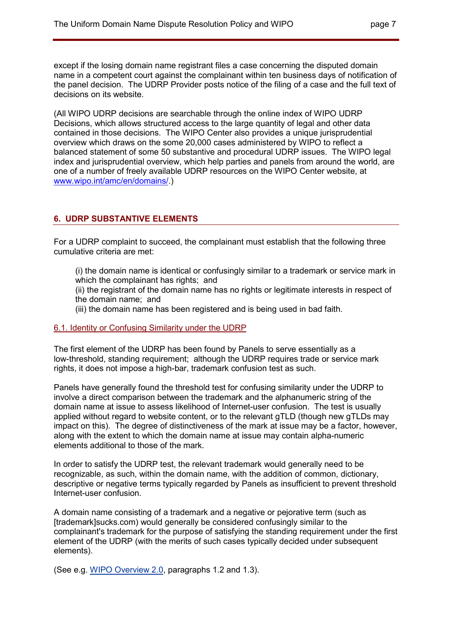except if the losing domain name registrant files a case concerning the disputed domain name in a competent court against the complainant within ten business days of notification of the panel decision. The UDRP Provider posts notice of the filing of a case and the full text of decisions on its website.

(All WIPO UDRP decisions are searchable through the online index of WIPO UDRP Decisions, which allows structured access to the large quantity of legal and other data contained in those decisions. The WIPO Center also provides a unique jurisprudential overview which draws on the some 20,000 cases administered by WIPO to reflect a balanced statement of some 50 substantive and procedural UDRP issues. The WIPO legal index and jurisprudential overview, which help parties and panels from around the world, are one of a number of freely available UDRP resources on the WIPO Center website, at www.wipo.int/amc/en/domains/.)

# **6. UDRP SUBSTANTIVE ELEMENTS**

For a UDRP complaint to succeed, the complainant must establish that the following three cumulative criteria are met:

(i) the domain name is identical or confusingly similar to a trademark or service mark in which the complainant has rights; and

(ii) the registrant of the domain name has no rights or legitimate interests in respect of the domain name; and

(iii) the domain name has been registered and is being used in bad faith.

# 6.1. Identity or Confusing Similarity under the UDRP

The first element of the UDRP has been found by Panels to serve essentially as a low-threshold, standing requirement; although the UDRP requires trade or service mark rights, it does not impose a high-bar, trademark confusion test as such.

Panels have generally found the threshold test for confusing similarity under the UDRP to involve a direct comparison between the trademark and the alphanumeric string of the domain name at issue to assess likelihood of Internet-user confusion. The test is usually applied without regard to website content, or to the relevant gTLD (though new gTLDs may impact on this). The degree of distinctiveness of the mark at issue may be a factor, however, along with the extent to which the domain name at issue may contain alpha-numeric elements additional to those of the mark.

In order to satisfy the UDRP test, the relevant trademark would generally need to be recognizable, as such, within the domain name, with the addition of common, dictionary, descriptive or negative terms typically regarded by Panels as insufficient to prevent threshold Internet-user confusion.

A domain name consisting of a trademark and a negative or pejorative term (such as [trademark]sucks.com) would generally be considered confusingly similar to the complainant's trademark for the purpose of satisfying the standing requirement under the first element of the UDRP (with the merits of such cases typically decided under subsequent elements).

(See e.g. WIPO Overview 2.0, paragraphs 1.2 and 1.3).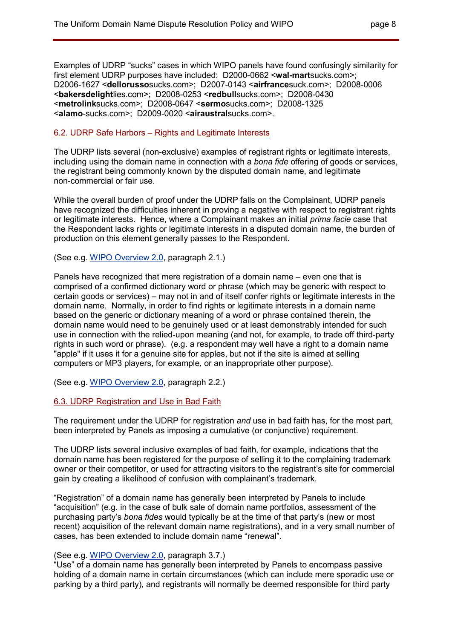Examples of UDRP "sucks" cases in which WIPO panels have found confusingly similarity for first element UDRP purposes have included: D2000-0662 <**wal-mart**sucks.com>; D2006-1627 <**dellorusso**sucks.com>; D2007-0143 <**airfrance**suck.com>; D2008-0006 <**bakersdelight**lies.com>; D2008-0253 <**redbull**sucks.com>; D2008-0430 <**metrolink**sucks.com>; D2008-0647 <**sermo**sucks.com>; D2008-1325 <**alamo**-sucks.com>; D2009-0020 <**airaustral**sucks.com>.

### 6.2. UDRP Safe Harbors – Rights and Legitimate Interests

The UDRP lists several (non-exclusive) examples of registrant rights or legitimate interests, including using the domain name in connection with a *bona fide* offering of goods or services, the registrant being commonly known by the disputed domain name, and legitimate non-commercial or fair use.

While the overall burden of proof under the UDRP falls on the Complainant, UDRP panels have recognized the difficulties inherent in proving a negative with respect to registrant rights or legitimate interests. Hence, where a Complainant makes an initial *prima facie* case that the Respondent lacks rights or legitimate interests in a disputed domain name, the burden of production on this element generally passes to the Respondent.

(See e.g. WIPO Overview 2.0, paragraph 2.1.)

Panels have recognized that mere registration of a domain name – even one that is comprised of a confirmed dictionary word or phrase (which may be generic with respect to certain goods or services) – may not in and of itself confer rights or legitimate interests in the domain name. Normally, in order to find rights or legitimate interests in a domain name based on the generic or dictionary meaning of a word or phrase contained therein, the domain name would need to be genuinely used or at least demonstrably intended for such use in connection with the relied-upon meaning (and not, for example, to trade off third-party rights in such word or phrase). (e.g. a respondent may well have a right to a domain name "apple" if it uses it for a genuine site for apples, but not if the site is aimed at selling computers or MP3 players, for example, or an inappropriate other purpose).

(See e.g. WIPO Overview 2.0, paragraph 2.2.)

6.3. UDRP Registration and Use in Bad Faith

The requirement under the UDRP for registration *and* use in bad faith has, for the most part, been interpreted by Panels as imposing a cumulative (or conjunctive) requirement.

The UDRP lists several inclusive examples of bad faith, for example, indications that the domain name has been registered for the purpose of selling it to the complaining trademark owner or their competitor, or used for attracting visitors to the registrant's site for commercial gain by creating a likelihood of confusion with complainant's trademark.

"Registration" of a domain name has generally been interpreted by Panels to include "acquisition" (e.g. in the case of bulk sale of domain name portfolios, assessment of the purchasing party's *bona fides* would typically be at the time of that party's (new or most recent) acquisition of the relevant domain name registrations), and in a very small number of cases, has been extended to include domain name "renewal".

# (See e.g. WIPO Overview 2.0, paragraph 3.7.)

"Use" of a domain name has generally been interpreted by Panels to encompass passive holding of a domain name in certain circumstances (which can include mere sporadic use or parking by a third party), and registrants will normally be deemed responsible for third party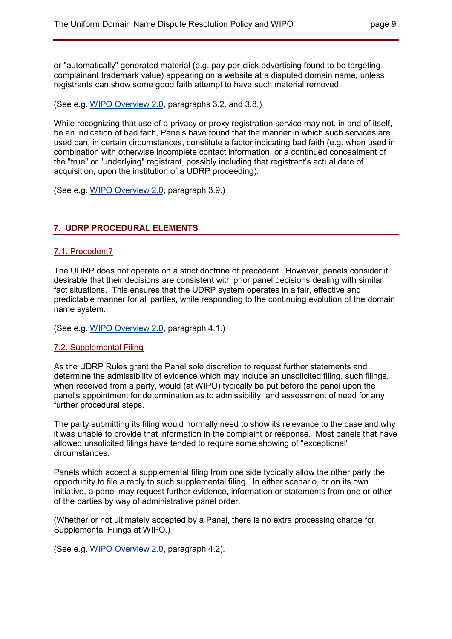or "automatically" generated material (e.g. pay-per-click advertising found to be targeting complainant trademark value) appearing on a website at a disputed domain name, unless registrants can show some good faith attempt to have such material removed.

(See e.g. WIPO Overview 2.0, paragraphs 3.2. and 3.8.)

While recognizing that use of a privacy or proxy registration service may not, in and of itself, be an indication of bad faith, Panels have found that the manner in which such services are used can, in certain circumstances, constitute a factor indicating bad faith (e.g. when used in combination with otherwise incomplete contact information, or a continued concealment of the "true" or "underlying" registrant, possibly including that registrant's actual date of acquisition, upon the institution of a UDRP proceeding).

(See e.g. WIPO Overview 2.0, paragraph 3.9.)

# **7. UDRP PROCEDURAL ELEMENTS**

### 7.1. Precedent?

The UDRP does not operate on a strict doctrine of precedent. However, panels consider it desirable that their decisions are consistent with prior panel decisions dealing with similar fact situations. This ensures that the UDRP system operates in a fair, effective and predictable manner for all parties, while responding to the continuing evolution of the domain name system.

(See e.g. WIPO Overview 2.0, paragraph 4.1.)

#### 7.2. Supplemental Filing

As the UDRP Rules grant the Panel sole discretion to request further statements and determine the admissibility of evidence which may include an unsolicited filing, such filings, when received from a party, would (at WIPO) typically be put before the panel upon the panel's appointment for determination as to admissibility, and assessment of need for any further procedural steps.

The party submitting its filing would normally need to show its relevance to the case and why it was unable to provide that information in the complaint or response. Most panels that have allowed unsolicited filings have tended to require some showing of "exceptional" circumstances.

Panels which accept a supplemental filing from one side typically allow the other party the opportunity to file a reply to such supplemental filing. In either scenario, or on its own initiative, a panel may request further evidence, information or statements from one or other of the parties by way of administrative panel order.

(Whether or not ultimately accepted by a Panel, there is no extra processing charge for Supplemental Filings at WIPO.)

(See e.g. WIPO Overview 2.0, paragraph 4.2).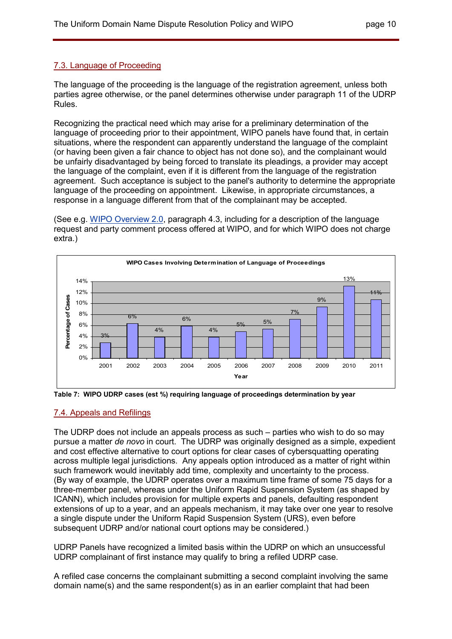# 7.3. Language of Proceeding

The language of the proceeding is the language of the registration agreement, unless both parties agree otherwise, or the panel determines otherwise under paragraph 11 of the UDRP Rules.

Recognizing the practical need which may arise for a preliminary determination of the language of proceeding prior to their appointment, WIPO panels have found that, in certain situations, where the respondent can apparently understand the language of the complaint (or having been given a fair chance to object has not done so), and the complainant would be unfairly disadvantaged by being forced to translate its pleadings, a provider may accept the language of the complaint, even if it is different from the language of the registration agreement. Such acceptance is subject to the panel's authority to determine the appropriate language of the proceeding on appointment. Likewise, in appropriate circumstances, a response in a language different from that of the complainant may be accepted.

(See e.g. WIPO Overview 2.0, paragraph 4.3, including for a description of the language request and party comment process offered at WIPO, and for which WIPO does not charge extra.)





#### 7.4. Appeals and Refilings

The UDRP does not include an appeals process as such – parties who wish to do so may pursue a matter *de novo* in court. The UDRP was originally designed as a simple, expedient and cost effective alternative to court options for clear cases of cybersquatting operating across multiple legal jurisdictions. Any appeals option introduced as a matter of right within such framework would inevitably add time, complexity and uncertainty to the process. (By way of example, the UDRP operates over a maximum time frame of some 75 days for a three-member panel, whereas under the Uniform Rapid Suspension System (as shaped by ICANN), which includes provision for multiple experts and panels, defaulting respondent extensions of up to a year, and an appeals mechanism, it may take over one year to resolve a single dispute under the Uniform Rapid Suspension System (URS), even before subsequent UDRP and/or national court options may be considered.)

UDRP Panels have recognized a limited basis within the UDRP on which an unsuccessful UDRP complainant of first instance may qualify to bring a refiled UDRP case.

A refiled case concerns the complainant submitting a second complaint involving the same domain name(s) and the same respondent(s) as in an earlier complaint that had been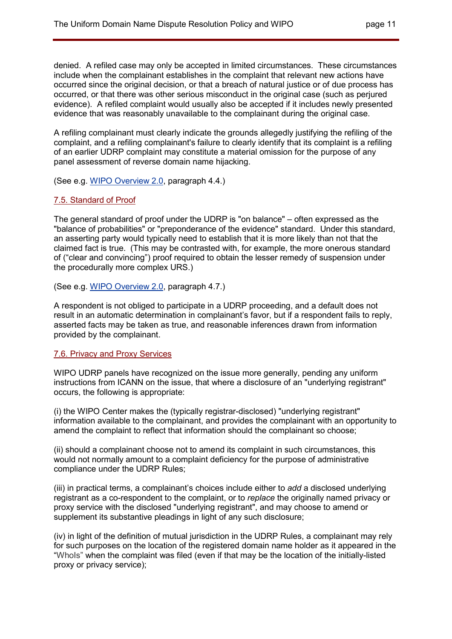denied. A refiled case may only be accepted in limited circumstances. These circumstances include when the complainant establishes in the complaint that relevant new actions have occurred since the original decision, or that a breach of natural justice or of due process has occurred, or that there was other serious misconduct in the original case (such as perjured evidence). A refiled complaint would usually also be accepted if it includes newly presented evidence that was reasonably unavailable to the complainant during the original case.

A refiling complainant must clearly indicate the grounds allegedly justifying the refiling of the complaint, and a refiling complainant's failure to clearly identify that its complaint is a refiling of an earlier UDRP complaint may constitute a material omission for the purpose of any panel assessment of reverse domain name hijacking.

(See e.g. WIPO Overview 2.0, paragraph 4.4.)

# 7.5. Standard of Proof

The general standard of proof under the UDRP is "on balance" – often expressed as the "balance of probabilities" or "preponderance of the evidence" standard. Under this standard, an asserting party would typically need to establish that it is more likely than not that the claimed fact is true. (This may be contrasted with, for example, the more onerous standard of ("clear and convincing") proof required to obtain the lesser remedy of suspension under the procedurally more complex URS.)

(See e.g. WIPO Overview 2.0, paragraph 4.7.)

A respondent is not obliged to participate in a UDRP proceeding, and a default does not result in an automatic determination in complainant's favor, but if a respondent fails to reply, asserted facts may be taken as true, and reasonable inferences drawn from information provided by the complainant.

# 7.6. Privacy and Proxy Services

WIPO UDRP panels have recognized on the issue more generally, pending any uniform instructions from ICANN on the issue, that where a disclosure of an "underlying registrant" occurs, the following is appropriate:

(i) the WIPO Center makes the (typically registrar-disclosed) "underlying registrant" information available to the complainant, and provides the complainant with an opportunity to amend the complaint to reflect that information should the complainant so choose;

(ii) should a complainant choose not to amend its complaint in such circumstances, this would not normally amount to a complaint deficiency for the purpose of administrative compliance under the UDRP Rules;

(iii) in practical terms, a complainant's choices include either to *add* a disclosed underlying registrant as a co-respondent to the complaint, or to *replace* the originally named privacy or proxy service with the disclosed "underlying registrant", and may choose to amend or supplement its substantive pleadings in light of any such disclosure;

(iv) in light of the definition of mutual jurisdiction in the UDRP Rules, a complainant may rely for such purposes on the location of the registered domain name holder as it appeared in the "WhoIs" when the complaint was filed (even if that may be the location of the initially-listed proxy or privacy service);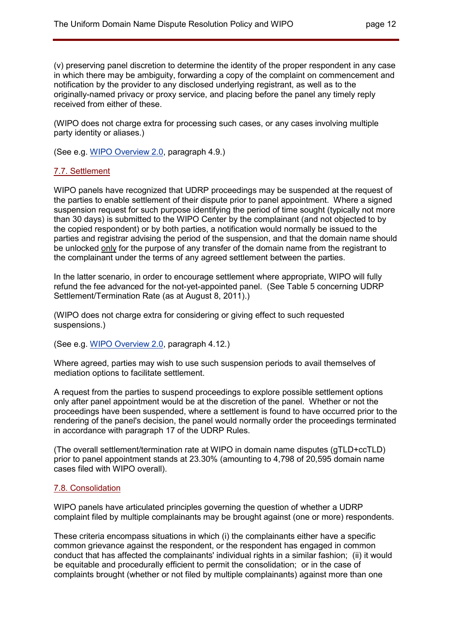(v) preserving panel discretion to determine the identity of the proper respondent in any case in which there may be ambiguity, forwarding a copy of the complaint on commencement and notification by the provider to any disclosed underlying registrant, as well as to the originally-named privacy or proxy service, and placing before the panel any timely reply received from either of these.

(WIPO does not charge extra for processing such cases, or any cases involving multiple party identity or aliases.)

(See e.g. WIPO Overview 2.0, paragraph 4.9.)

#### 7.7. Settlement

WIPO panels have recognized that UDRP proceedings may be suspended at the request of the parties to enable settlement of their dispute prior to panel appointment. Where a signed suspension request for such purpose identifying the period of time sought (typically not more than 30 days) is submitted to the WIPO Center by the complainant (and not objected to by the copied respondent) or by both parties, a notification would normally be issued to the parties and registrar advising the period of the suspension, and that the domain name should be unlocked only for the purpose of any transfer of the domain name from the registrant to the complainant under the terms of any agreed settlement between the parties.

In the latter scenario, in order to encourage settlement where appropriate, WIPO will fully refund the fee advanced for the not-yet-appointed panel. (See Table 5 concerning UDRP Settlement/Termination Rate (as at August 8, 2011).)

(WIPO does not charge extra for considering or giving effect to such requested suspensions.)

(See e.g. WIPO Overview 2.0, paragraph 4.12.)

Where agreed, parties may wish to use such suspension periods to avail themselves of mediation options to facilitate settlement.

A request from the parties to suspend proceedings to explore possible settlement options only after panel appointment would be at the discretion of the panel. Whether or not the proceedings have been suspended, where a settlement is found to have occurred prior to the rendering of the panel's decision, the panel would normally order the proceedings terminated in accordance with paragraph 17 of the UDRP Rules.

(The overall settlement/termination rate at WIPO in domain name disputes (gTLD+ccTLD) prior to panel appointment stands at 23.30% (amounting to 4,798 of 20,595 domain name cases filed with WIPO overall).

#### 7.8. Consolidation

WIPO panels have articulated principles governing the question of whether a UDRP complaint filed by multiple complainants may be brought against (one or more) respondents.

These criteria encompass situations in which (i) the complainants either have a specific common grievance against the respondent, or the respondent has engaged in common conduct that has affected the complainants' individual rights in a similar fashion; (ii) it would be equitable and procedurally efficient to permit the consolidation; or in the case of complaints brought (whether or not filed by multiple complainants) against more than one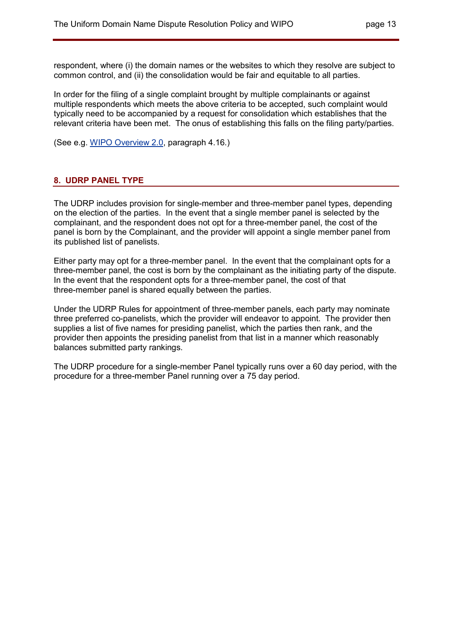respondent, where (i) the domain names or the websites to which they resolve are subject to common control, and (ii) the consolidation would be fair and equitable to all parties.

In order for the filing of a single complaint brought by multiple complainants or against multiple respondents which meets the above criteria to be accepted, such complaint would typically need to be accompanied by a request for consolidation which establishes that the relevant criteria have been met. The onus of establishing this falls on the filing party/parties.

(See e.g. WIPO Overview 2.0, paragraph 4.16.)

# **8. UDRP PANEL TYPE**

The UDRP includes provision for single-member and three-member panel types, depending on the election of the parties. In the event that a single member panel is selected by the complainant, and the respondent does not opt for a three-member panel, the cost of the panel is born by the Complainant, and the provider will appoint a single member panel from its published list of panelists.

Either party may opt for a three-member panel. In the event that the complainant opts for a three-member panel, the cost is born by the complainant as the initiating party of the dispute. In the event that the respondent opts for a three-member panel, the cost of that three-member panel is shared equally between the parties.

Under the UDRP Rules for appointment of three-member panels, each party may nominate three preferred co-panelists, which the provider will endeavor to appoint. The provider then supplies a list of five names for presiding panelist, which the parties then rank, and the provider then appoints the presiding panelist from that list in a manner which reasonably balances submitted party rankings.

The UDRP procedure for a single-member Panel typically runs over a 60 day period, with the procedure for a three-member Panel running over a 75 day period.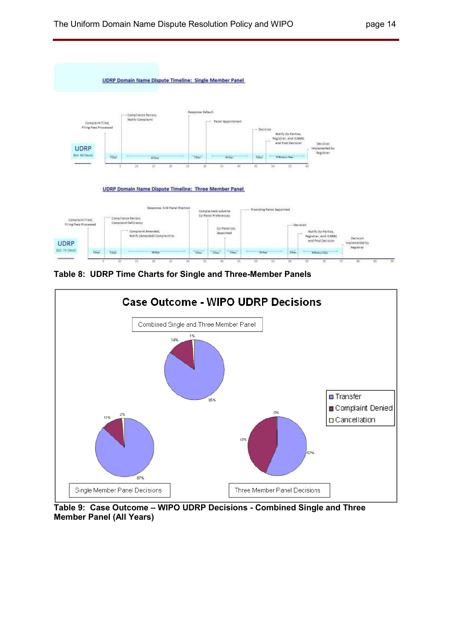



**Table 8: UDRP Time Charts for Single and Three-Member Panels** 



**Table 9: Case Outcome – WIPO UDRP Decisions - Combined Single and Three Member Panel (All Years)**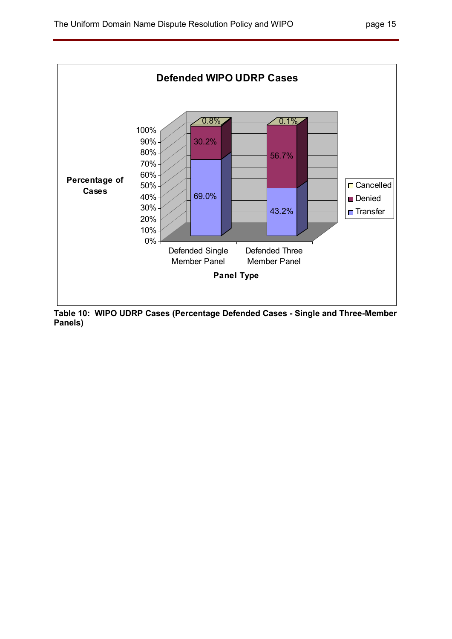

**Table 10: WIPO UDRP Cases (Percentage Defended Cases - Single and Three-Member Panels)**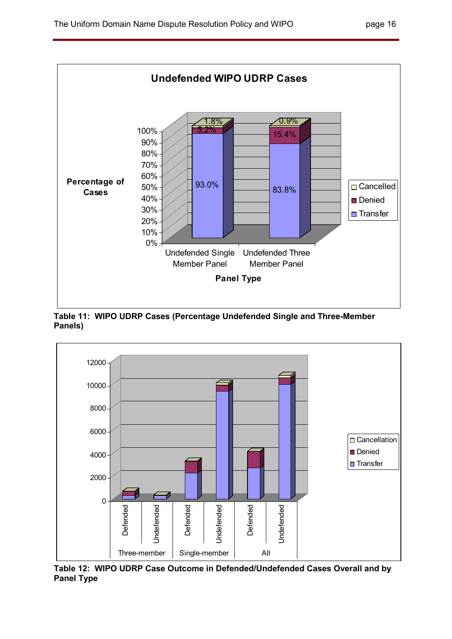

**Table 11: WIPO UDRP Cases (Percentage Undefended Single and Three-Member Panels)** 



**Table 12: WIPO UDRP Case Outcome in Defended/Undefended Cases Overall and by Panel Type**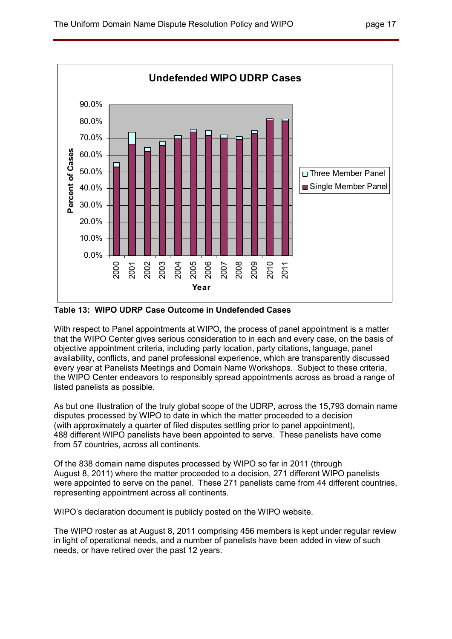

**Table 13: WIPO UDRP Case Outcome in Undefended Cases** 

With respect to Panel appointments at WIPO, the process of panel appointment is a matter that the WIPO Center gives serious consideration to in each and every case, on the basis of objective appointment criteria, including party location, party citations, language, panel availability, conflicts, and panel professional experience, which are transparently discussed every year at Panelists Meetings and Domain Name Workshops. Subject to these criteria, the WIPO Center endeavors to responsibly spread appointments across as broad a range of listed panelists as possible.

As but one illustration of the truly global scope of the UDRP, across the 15,793 domain name disputes processed by WIPO to date in which the matter proceeded to a decision (with approximately a quarter of filed disputes settling prior to panel appointment), 488 different WIPO panelists have been appointed to serve. These panelists have come from 57 countries, across all continents.

Of the 838 domain name disputes processed by WIPO so far in 2011 (through August 8, 2011) where the matter proceeded to a decision, 271 different WIPO panelists were appointed to serve on the panel. These 271 panelists came from 44 different countries, representing appointment across all continents.

WIPO's declaration document is publicly posted on the WIPO website.

The WIPO roster as at August 8, 2011 comprising 456 members is kept under regular review in light of operational needs, and a number of panelists have been added in view of such needs, or have retired over the past 12 years.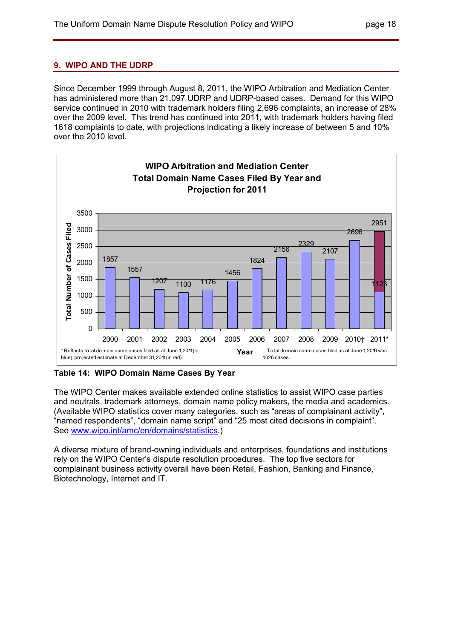# **9. WIPO AND THE UDRP**

Since December 1999 through August 8, 2011, the WIPO Arbitration and Mediation Center has administered more than 21,097 UDRP and UDRP-based cases. Demand for this WIPO service continued in 2010 with trademark holders filing 2,696 complaints, an increase of 28% over the 2009 level. This trend has continued into 2011, with trademark holders having filed 1618 complaints to date, with projections indicating a likely increase of between 5 and 10% over the 2010 level.



**Table 14: WIPO Domain Name Cases By Year** 

The WIPO Center makes available extended online statistics to assist WIPO case parties and neutrals, trademark attorneys, domain name policy makers, the media and academics. (Available WIPO statistics cover many categories, such as "areas of complainant activity", "named respondents", "domain name script" and "25 most cited decisions in complaint". See www.wipo.int/amc/en/domains/statistics.)

A diverse mixture of brand-owning individuals and enterprises, foundations and institutions rely on the WIPO Center's dispute resolution procedures. The top five sectors for complainant business activity overall have been Retail, Fashion, Banking and Finance, Biotechnology, Internet and IT.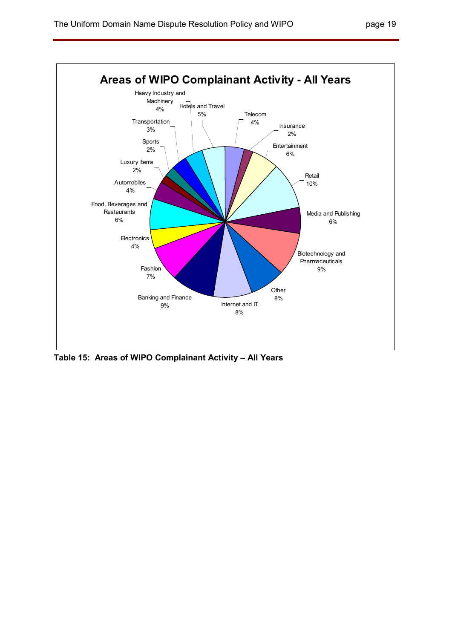

**Table 15: Areas of WIPO Complainant Activity – All Years**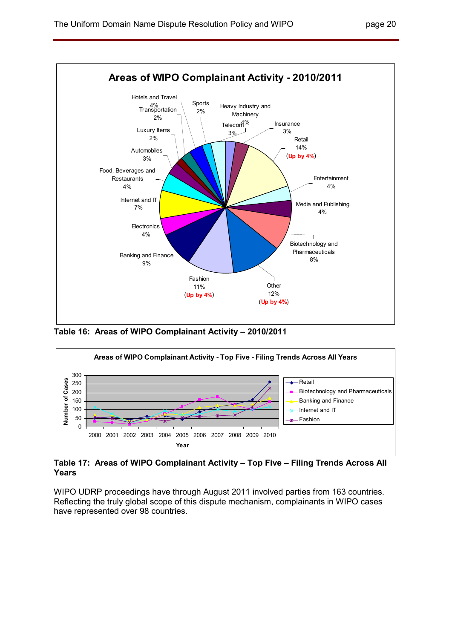

**Table 16: Areas of WIPO Complainant Activity – 2010/2011** 



**Table 17: Areas of WIPO Complainant Activity – Top Five – Filing Trends Across All Years** 

WIPO UDRP proceedings have through August 2011 involved parties from 163 countries. Reflecting the truly global scope of this dispute mechanism, complainants in WIPO cases have represented over 98 countries.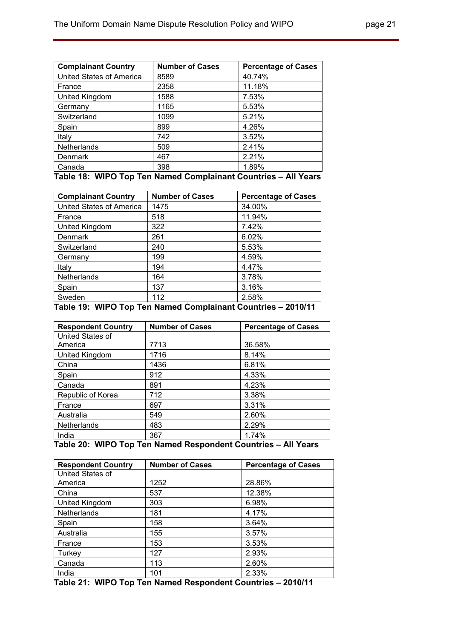| <b>Complainant Country</b> | <b>Number of Cases</b> | <b>Percentage of Cases</b> |
|----------------------------|------------------------|----------------------------|
| United States of America   | 8589                   | 40.74%                     |
| France                     | 2358                   | 11.18%                     |
| United Kingdom             | 1588                   | 7.53%                      |
| Germany                    | 1165                   | 5.53%                      |
| Switzerland                | 1099                   | 5.21%                      |
| Spain                      | 899                    | 4.26%                      |
| Italy                      | 742                    | 3.52%                      |
| <b>Netherlands</b>         | 509                    | 2.41%                      |
| Denmark                    | 467                    | 2.21%                      |
| Canada                     | 398                    | 1.89%                      |
| 1.117A<br>-                | $\sim$<br>.<br>. .     | .<br>.                     |

|  |  |  |  |  | Table 18: WIPO Top Ten Named Complainant Countries - All Years |  |  |
|--|--|--|--|--|----------------------------------------------------------------|--|--|
|--|--|--|--|--|----------------------------------------------------------------|--|--|

| <b>Complainant Country</b> | <b>Number of Cases</b> | <b>Percentage of Cases</b> |
|----------------------------|------------------------|----------------------------|
| United States of America   | 1475                   | 34.00%                     |
| France                     | 518                    | 11.94%                     |
| United Kingdom             | 322                    | 7.42%                      |
| Denmark                    | 261                    | 6.02%                      |
| Switzerland                | 240                    | 5.53%                      |
| Germany                    | 199                    | 4.59%                      |
| Italy                      | 194                    | 4.47%                      |
| <b>Netherlands</b>         | 164                    | 3.78%                      |
| Spain                      | 137                    | 3.16%                      |
| Sweden<br>------           | 112<br>- -<br>. .      | 2.58%<br>------            |

# **Table 19: WIPO Top Ten Named Complainant Countries – 2010/11**

| <b>Respondent Country</b> | <b>Number of Cases</b> | <b>Percentage of Cases</b> |
|---------------------------|------------------------|----------------------------|
| United States of          |                        |                            |
| America                   | 7713                   | 36.58%                     |
| United Kingdom            | 1716                   | 8.14%                      |
| China                     | 1436                   | 6.81%                      |
| Spain                     | 912                    | 4.33%                      |
| Canada                    | 891                    | 4.23%                      |
| Republic of Korea         | 712                    | 3.38%                      |
| France                    | 697                    | 3.31%                      |
| Australia                 | 549                    | 2.60%                      |
| <b>Netherlands</b>        | 483                    | 2.29%                      |
| India                     | 367                    | 1.74%                      |

#### **Table 20: WIPO Top Ten Named Respondent Countries – All Years**

| <b>Respondent Country</b> | <b>Number of Cases</b> | <b>Percentage of Cases</b> |
|---------------------------|------------------------|----------------------------|
| United States of          |                        |                            |
| America                   | 1252                   | 28.86%                     |
| China                     | 537                    | 12.38%                     |
| United Kingdom            | 303                    | 6.98%                      |
| <b>Netherlands</b>        | 181                    | 4.17%                      |
| Spain                     | 158                    | 3.64%                      |
| Australia                 | 155                    | 3.57%                      |
| France                    | 153                    | 3.53%                      |
| Turkey                    | 127                    | 2.93%                      |
| Canada                    | 113                    | 2.60%                      |
| India                     | 101                    | 2.33%                      |

**Table 21: WIPO Top Ten Named Respondent Countries – 2010/11**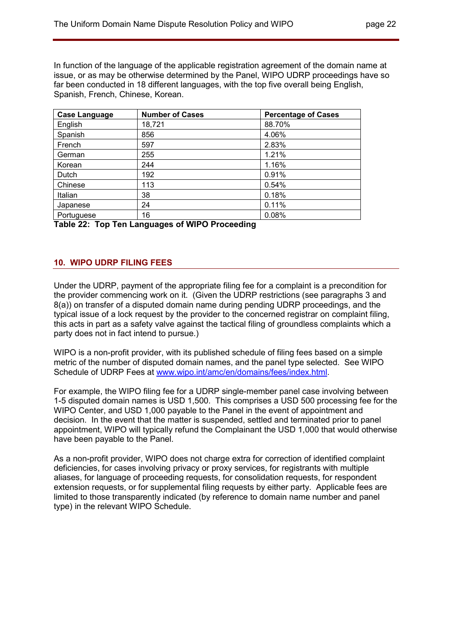In function of the language of the applicable registration agreement of the domain name at issue, or as may be otherwise determined by the Panel, WIPO UDRP proceedings have so far been conducted in 18 different languages, with the top five overall being English, Spanish, French, Chinese, Korean.

| <b>Case Language</b> | <b>Number of Cases</b> | <b>Percentage of Cases</b> |
|----------------------|------------------------|----------------------------|
| English              | 18,721                 | 88.70%                     |
| Spanish              | 856                    | 4.06%                      |
| French               | 597                    | 2.83%                      |
| German               | 255                    | 1.21%                      |
| Korean               | 244                    | 1.16%                      |
| Dutch                | 192                    | 0.91%                      |
| Chinese              | 113                    | 0.54%                      |
| Italian              | 38                     | 0.18%                      |
| Japanese             | 24                     | 0.11%                      |
| Portuguese           | 16                     | 0.08%                      |

**Table 22: Top Ten Languages of WIPO Proceeding** 

# **10. WIPO UDRP FILING FEES**

Under the UDRP, payment of the appropriate filing fee for a complaint is a precondition for the provider commencing work on it. (Given the UDRP restrictions (see paragraphs 3 and 8(a)) on transfer of a disputed domain name during pending UDRP proceedings, and the typical issue of a lock request by the provider to the concerned registrar on complaint filing, this acts in part as a safety valve against the tactical filing of groundless complaints which a party does not in fact intend to pursue.)

WIPO is a non-profit provider, with its published schedule of filing fees based on a simple metric of the number of disputed domain names, and the panel type selected. See WIPO Schedule of UDRP Fees at www.wipo.int/amc/en/domains/fees/index.html.

For example, the WIPO filing fee for a UDRP single-member panel case involving between 1-5 disputed domain names is USD 1,500. This comprises a USD 500 processing fee for the WIPO Center, and USD 1,000 payable to the Panel in the event of appointment and decision. In the event that the matter is suspended, settled and terminated prior to panel appointment, WIPO will typically refund the Complainant the USD 1,000 that would otherwise have been payable to the Panel.

As a non-profit provider, WIPO does not charge extra for correction of identified complaint deficiencies, for cases involving privacy or proxy services, for registrants with multiple aliases, for language of proceeding requests, for consolidation requests, for respondent extension requests, or for supplemental filing requests by either party. Applicable fees are limited to those transparently indicated (by reference to domain name number and panel type) in the relevant WIPO Schedule.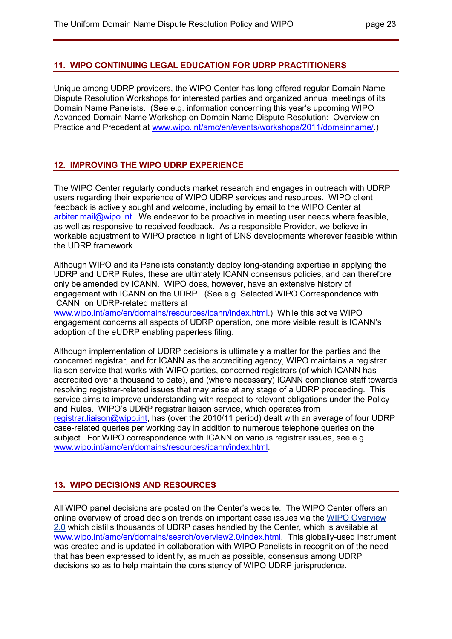### **11. WIPO CONTINUING LEGAL EDUCATION FOR UDRP PRACTITIONERS**

Unique among UDRP providers, the WIPO Center has long offered regular Domain Name Dispute Resolution Workshops for interested parties and organized annual meetings of its Domain Name Panelists. (See e.g. information concerning this year's upcoming WIPO Advanced Domain Name Workshop on Domain Name Dispute Resolution: Overview on Practice and Precedent at www.wipo.int/amc/en/events/workshops/2011/domainname/.)

# **12. IMPROVING THE WIPO UDRP EXPERIENCE**

The WIPO Center regularly conducts market research and engages in outreach with UDRP users regarding their experience of WIPO UDRP services and resources. WIPO client feedback is actively sought and welcome, including by email to the WIPO Center at arbiter.mail@wipo.int. We endeavor to be proactive in meeting user needs where feasible, as well as responsive to received feedback. As a responsible Provider, we believe in workable adjustment to WIPO practice in light of DNS developments wherever feasible within the UDRP framework.

Although WIPO and its Panelists constantly deploy long-standing expertise in applying the UDRP and UDRP Rules, these are ultimately ICANN consensus policies, and can therefore only be amended by ICANN. WIPO does, however, have an extensive history of engagement with ICANN on the UDRP. (See e.g. Selected WIPO Correspondence with ICANN, on UDRP-related matters at

www.wipo.int/amc/en/domains/resources/icann/index.html.) While this active WIPO engagement concerns all aspects of UDRP operation, one more visible result is ICANN's adoption of the eUDRP enabling paperless filing.

Although implementation of UDRP decisions is ultimately a matter for the parties and the concerned registrar, and for ICANN as the accrediting agency, WIPO maintains a registrar liaison service that works with WIPO parties, concerned registrars (of which ICANN has accredited over a thousand to date), and (where necessary) ICANN compliance staff towards resolving registrar-related issues that may arise at any stage of a UDRP proceeding. This service aims to improve understanding with respect to relevant obligations under the Policy and Rules. WIPO's UDRP registrar liaison service, which operates from registrar.liaison@wipo.int, has (over the 2010/11 period) dealt with an average of four UDRP case-related queries per working day in addition to numerous telephone queries on the subject. For WIPO correspondence with ICANN on various registrar issues, see e.g. www.wipo.int/amc/en/domains/resources/icann/index.html.

# **13. WIPO DECISIONS AND RESOURCES**

All WIPO panel decisions are posted on the Center's website. The WIPO Center offers an online overview of broad decision trends on important case issues via the WIPO Overview 2.0 which distills thousands of UDRP cases handled by the Center, which is available at www.wipo.int/amc/en/domains/search/overview2.0/index.html. This globally-used instrument was created and is updated in collaboration with WIPO Panelists in recognition of the need that has been expressed to identify, as much as possible, consensus among UDRP decisions so as to help maintain the consistency of WIPO UDRP jurisprudence.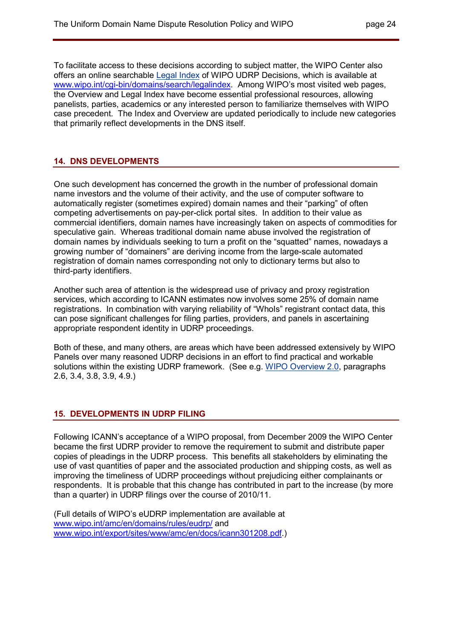To facilitate access to these decisions according to subject matter, the WIPO Center also offers an online searchable Legal Index of WIPO UDRP Decisions, which is available at www.wipo.int/cgi-bin/domains/search/legalindex. Among WIPO's most visited web pages, the Overview and Legal Index have become essential professional resources, allowing panelists, parties, academics or any interested person to familiarize themselves with WIPO case precedent. The Index and Overview are updated periodically to include new categories that primarily reflect developments in the DNS itself.

# **14. DNS DEVELOPMENTS**

One such development has concerned the growth in the number of professional domain name investors and the volume of their activity, and the use of computer software to automatically register (sometimes expired) domain names and their "parking" of often competing advertisements on pay-per-click portal sites. In addition to their value as commercial identifiers, domain names have increasingly taken on aspects of commodities for speculative gain. Whereas traditional domain name abuse involved the registration of domain names by individuals seeking to turn a profit on the "squatted" names, nowadays a growing number of "domainers" are deriving income from the large-scale automated registration of domain names corresponding not only to dictionary terms but also to third-party identifiers.

Another such area of attention is the widespread use of privacy and proxy registration services, which according to ICANN estimates now involves some 25% of domain name registrations. In combination with varying reliability of "WhoIs" registrant contact data, this can pose significant challenges for filing parties, providers, and panels in ascertaining appropriate respondent identity in UDRP proceedings.

Both of these, and many others, are areas which have been addressed extensively by WIPO Panels over many reasoned UDRP decisions in an effort to find practical and workable solutions within the existing UDRP framework. (See e.g. WIPO Overview 2.0, paragraphs 2.6, 3.4, 3.8, 3.9, 4.9.)

# **15. DEVELOPMENTS IN UDRP FILING**

Following ICANN's acceptance of a WIPO proposal, from December 2009 the WIPO Center became the first UDRP provider to remove the requirement to submit and distribute paper copies of pleadings in the UDRP process. This benefits all stakeholders by eliminating the use of vast quantities of paper and the associated production and shipping costs, as well as improving the timeliness of UDRP proceedings without prejudicing either complainants or respondents. It is probable that this change has contributed in part to the increase (by more than a quarter) in UDRP filings over the course of 2010/11.

(Full details of WIPO's eUDRP implementation are available at www.wipo.int/amc/en/domains/rules/eudrp/ and www.wipo.int/export/sites/www/amc/en/docs/icann301208.pdf.)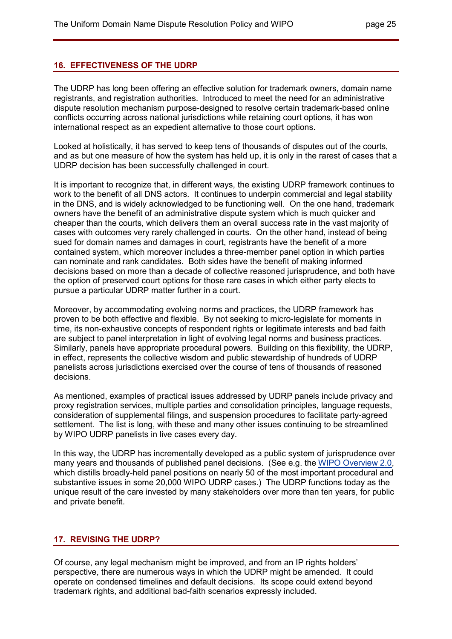### **16. EFFECTIVENESS OF THE UDRP**

The UDRP has long been offering an effective solution for trademark owners, domain name registrants, and registration authorities. Introduced to meet the need for an administrative dispute resolution mechanism purpose-designed to resolve certain trademark-based online conflicts occurring across national jurisdictions while retaining court options, it has won international respect as an expedient alternative to those court options.

Looked at holistically, it has served to keep tens of thousands of disputes out of the courts, and as but one measure of how the system has held up, it is only in the rarest of cases that a UDRP decision has been successfully challenged in court.

It is important to recognize that, in different ways, the existing UDRP framework continues to work to the benefit of all DNS actors. It continues to underpin commercial and legal stability in the DNS, and is widely acknowledged to be functioning well. On the one hand, trademark owners have the benefit of an administrative dispute system which is much quicker and cheaper than the courts, which delivers them an overall success rate in the vast majority of cases with outcomes very rarely challenged in courts. On the other hand, instead of being sued for domain names and damages in court, registrants have the benefit of a more contained system, which moreover includes a three-member panel option in which parties can nominate and rank candidates. Both sides have the benefit of making informed decisions based on more than a decade of collective reasoned jurisprudence, and both have the option of preserved court options for those rare cases in which either party elects to pursue a particular UDRP matter further in a court.

Moreover, by accommodating evolving norms and practices, the UDRP framework has proven to be both effective and flexible. By not seeking to micro-legislate for moments in time, its non-exhaustive concepts of respondent rights or legitimate interests and bad faith are subject to panel interpretation in light of evolving legal norms and business practices. Similarly, panels have appropriate procedural powers. Building on this flexibility, the UDRP, in effect, represents the collective wisdom and public stewardship of hundreds of UDRP panelists across jurisdictions exercised over the course of tens of thousands of reasoned decisions.

As mentioned, examples of practical issues addressed by UDRP panels include privacy and proxy registration services, multiple parties and consolidation principles, language requests, consideration of supplemental filings, and suspension procedures to facilitate party-agreed settlement. The list is long, with these and many other issues continuing to be streamlined by WIPO UDRP panelists in live cases every day.

In this way, the UDRP has incrementally developed as a public system of jurisprudence over many years and thousands of published panel decisions. (See e.g. the WIPO Overview 2.0, which distills broadly-held panel positions on nearly 50 of the most important procedural and substantive issues in some 20,000 WIPO UDRP cases.) The UDRP functions today as the unique result of the care invested by many stakeholders over more than ten years, for public and private benefit.

# **17. REVISING THE UDRP?**

Of course, any legal mechanism might be improved, and from an IP rights holders' perspective, there are numerous ways in which the UDRP might be amended. It could operate on condensed timelines and default decisions. Its scope could extend beyond trademark rights, and additional bad-faith scenarios expressly included.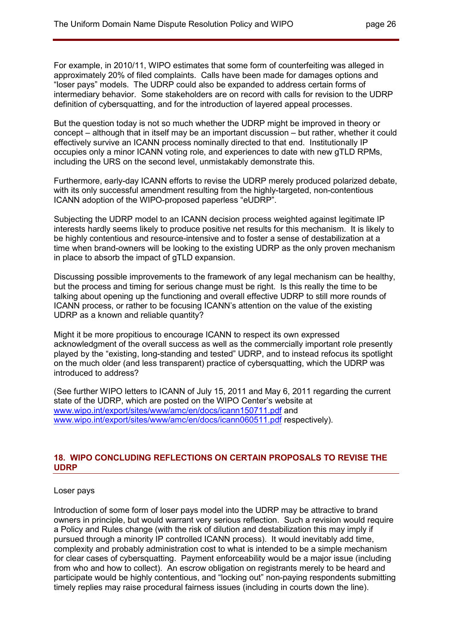For example, in 2010/11, WIPO estimates that some form of counterfeiting was alleged in approximately 20% of filed complaints. Calls have been made for damages options and "loser pays" models. The UDRP could also be expanded to address certain forms of intermediary behavior. Some stakeholders are on record with calls for revision to the UDRP definition of cybersquatting, and for the introduction of layered appeal processes.

But the question today is not so much whether the UDRP might be improved in theory or concept – although that in itself may be an important discussion – but rather, whether it could effectively survive an ICANN process nominally directed to that end. Institutionally IP occupies only a minor ICANN voting role, and experiences to date with new gTLD RPMs, including the URS on the second level, unmistakably demonstrate this.

Furthermore, early-day ICANN efforts to revise the UDRP merely produced polarized debate, with its only successful amendment resulting from the highly-targeted, non-contentious ICANN adoption of the WIPO-proposed paperless "eUDRP".

Subjecting the UDRP model to an ICANN decision process weighted against legitimate IP interests hardly seems likely to produce positive net results for this mechanism. It is likely to be highly contentious and resource-intensive and to foster a sense of destabilization at a time when brand-owners will be looking to the existing UDRP as the only proven mechanism in place to absorb the impact of gTLD expansion.

Discussing possible improvements to the framework of any legal mechanism can be healthy, but the process and timing for serious change must be right. Is this really the time to be talking about opening up the functioning and overall effective UDRP to still more rounds of ICANN process, or rather to be focusing ICANN's attention on the value of the existing UDRP as a known and reliable quantity?

Might it be more propitious to encourage ICANN to respect its own expressed acknowledgment of the overall success as well as the commercially important role presently played by the "existing, long-standing and tested" UDRP, and to instead refocus its spotlight on the much older (and less transparent) practice of cybersquatting, which the UDRP was introduced to address?

(See further WIPO letters to ICANN of July 15, 2011 and May 6, 2011 regarding the current state of the UDRP, which are posted on the WIPO Center's website at www.wipo.int/export/sites/www/amc/en/docs/icann150711.pdf and www.wipo.int/export/sites/www/amc/en/docs/icann060511.pdf respectively).

# **18. WIPO CONCLUDING REFLECTIONS ON CERTAIN PROPOSALS TO REVISE THE UDRP**

#### Loser pays

Introduction of some form of loser pays model into the UDRP may be attractive to brand owners in principle, but would warrant very serious reflection. Such a revision would require a Policy and Rules change (with the risk of dilution and destabilization this may imply if pursued through a minority IP controlled ICANN process). It would inevitably add time, complexity and probably administration cost to what is intended to be a simple mechanism for clear cases of cybersquatting. Payment enforceability would be a major issue (including from who and how to collect). An escrow obligation on registrants merely to be heard and participate would be highly contentious, and "locking out" non-paying respondents submitting timely replies may raise procedural fairness issues (including in courts down the line).